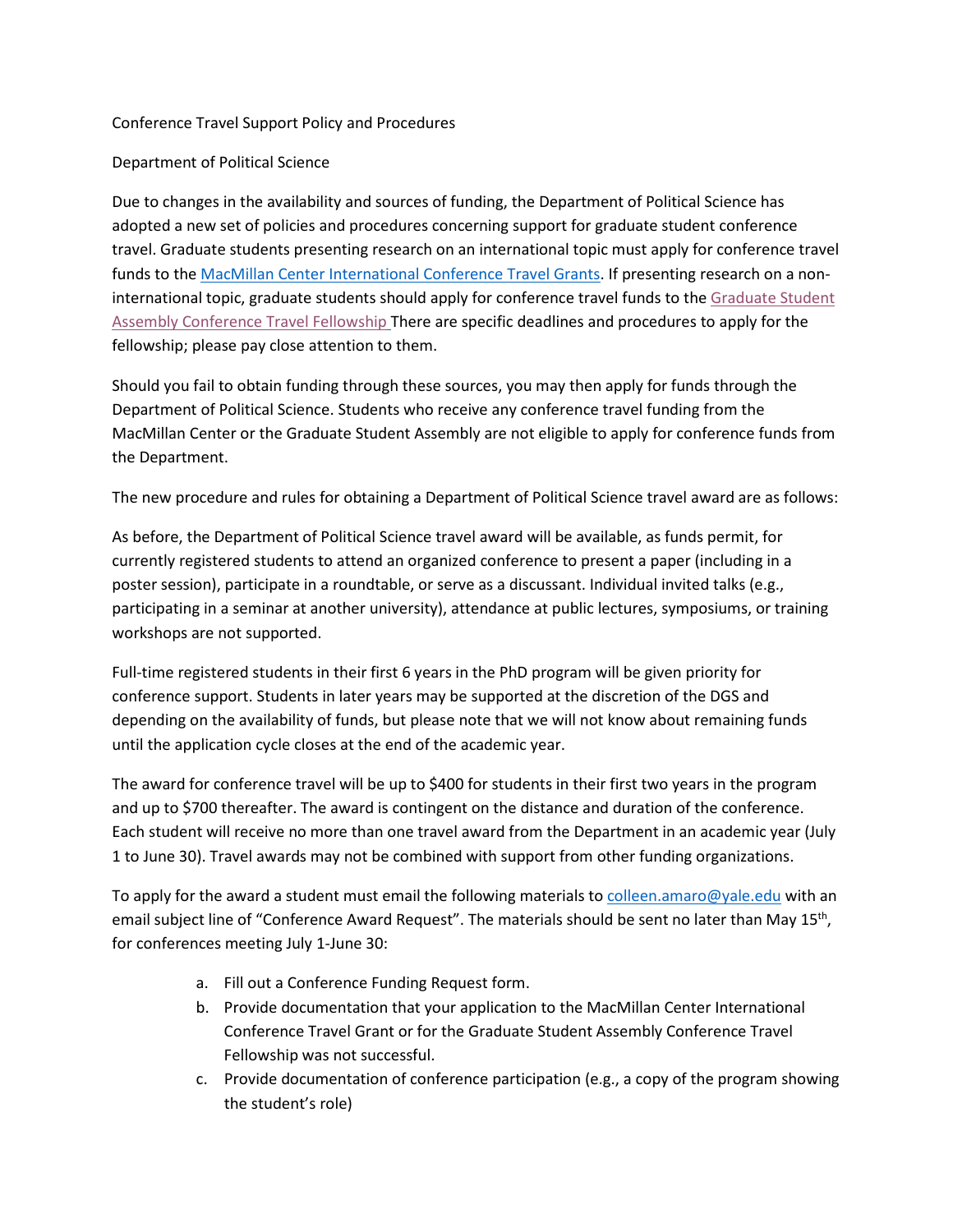## Conference Travel Support Policy and Procedures

## Department of Political Science

Due to changes in the availability and sources of funding, the Department of Political Science has adopted a new set of policies and procedures concerning support for graduate student conference travel. Graduate students presenting research on an international topic must apply for conference travel funds to the [MacMillan Center International Conference Travel Grants.](https://gsas.yale.edu/academic-professional-development/conference-travel-funding) If presenting research on a noninternational topic, graduate students should apply for conference travel funds to th[e Graduate Student](https://gsa.yale.edu/ctf)  [Assembly Conference Travel Fellowship](https://gsa.yale.edu/ctf) There are specific deadlines and procedures to apply for the fellowship; please pay close attention to them.

Should you fail to obtain funding through these sources, you may then apply for funds through the Department of Political Science. Students who receive any conference travel funding from the MacMillan Center or the Graduate Student Assembly are not eligible to apply for conference funds from the Department.

The new procedure and rules for obtaining a Department of Political Science travel award are as follows:

As before, the Department of Political Science travel award will be available, as funds permit, for currently registered students to attend an organized conference to present a paper (including in a poster session), participate in a roundtable, or serve as a discussant. Individual invited talks (e.g., participating in a seminar at another university), attendance at public lectures, symposiums, or training workshops are not supported.

Full-time registered students in their first 6 years in the PhD program will be given priority for conference support. Students in later years may be supported at the discretion of the DGS and depending on the availability of funds, but please note that we will not know about remaining funds until the application cycle closes at the end of the academic year.

The award for conference travel will be up to \$400 for students in their first two years in the program and up to \$700 thereafter. The award is contingent on the distance and duration of the conference. Each student will receive no more than one travel award from the Department in an academic year (July 1 to June 30). Travel awards may not be combined with support from other funding organizations.

To apply for the award a student must email the following materials to [colleen.amaro@yale.edu](mailto:colleen.amaro@yale.edu) with an email subject line of "Conference Award Request". The materials should be sent no later than May 15<sup>th</sup>, for conferences meeting July 1-June 30:

- a. Fill out a Conference Funding Request form.
- b. Provide documentation that your application to the MacMillan Center International Conference Travel Grant or for the Graduate Student Assembly Conference Travel Fellowship was not successful.
- c. Provide documentation of conference participation (e.g., a copy of the program showing the student's role)